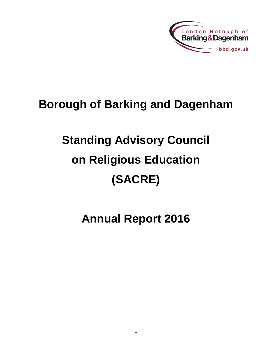

## **Borough of Barking and Dagenham**

# **Standing Advisory Council on Religious Education (SACRE)**

**Annual Report 2016**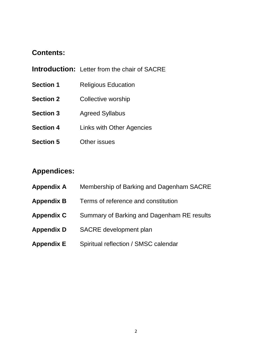### **Contents:**

- **Introduction:** Letter from the chair of SACRE
- **Section 1** Religious Education
- **Section 2** Collective worship
- **Section 3** Agreed Syllabus
- **Section 4** Links with Other Agencies
- **Section 5** Other issues

### **Appendices:**

- **Appendix A** Membership of Barking and Dagenham SACRE
- **Appendix B** Terms of reference and constitution
- **Appendix C** Summary of Barking and Dagenham RE results
- **Appendix D** SACRE development plan
- **Appendix E** Spiritual reflection / SMSC calendar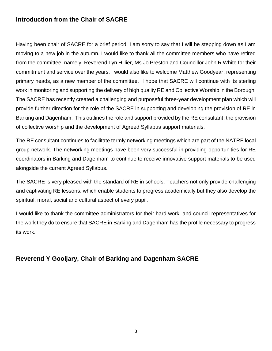### **Introduction from the Chair of SACRE**

Having been chair of SACRE for a brief period, I am sorry to say that I will be stepping down as I am moving to a new job in the autumn. I would like to thank all the committee members who have retired from the committee, namely, Reverend Lyn Hillier, Ms Jo Preston and Councillor John R White for their commitment and service over the years. I would also like to welcome Matthew Goodyear, representing primary heads, as a new member of the committee. I hope that SACRE will continue with its sterling work in monitoring and supporting the delivery of high quality RE and Collective Worship in the Borough. The SACRE has recently created a challenging and purposeful three-year development plan which will provide further direction for the role of the SACRE in supporting and developing the provision of RE in Barking and Dagenham. This outlines the role and support provided by the RE consultant, the provision of collective worship and the development of Agreed Syllabus support materials.

The RE consultant continues to facilitate termly networking meetings which are part of the NATRE local group network. The networking meetings have been very successful in providing opportunities for RE coordinators in Barking and Dagenham to continue to receive innovative support materials to be used alongside the current Agreed Syllabus.

The SACRE is very pleased with the standard of RE in schools. Teachers not only provide challenging and captivating RE lessons, which enable students to progress academically but they also develop the spiritual, moral, social and cultural aspect of every pupil.

I would like to thank the committee administrators for their hard work, and council representatives for the work they do to ensure that SACRE in Barking and Dagenham has the profile necessary to progress its work.

### **Reverend Y Gooljary, Chair of Barking and Dagenham SACRE**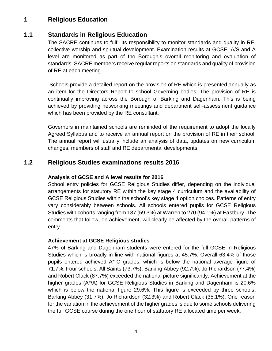### **1 Religious Education**

### **1.1 Standards in Religious Education**

The SACRE continues to fulfil its responsibility to monitor standards and quality in RE, collective worship and spiritual development. Examination results at GCSE, A/S and A level are monitored as part of the Borough's overall monitoring and evaluation of standards. SACRE members receive regular reports on standards and quality of provision of RE at each meeting.

Schools provide a detailed report on the provision of RE which is presented annually as an item for the Directors Report to school Governing bodies. The provision of RE is continually improving across the Borough of Barking and Dagenham. This is being achieved by providing networking meetings and department self-assessment guidance which has been provided by the RE consultant.

Governors in maintained schools are reminded of the requirement to adopt the locally Agreed Syllabus and to receive an annual report on the provision of RE in their school. The annual report will usually include an analysis of data, updates on new curriculum changes, members of staff and RE departmental developments.

### **1.2 Religious Studies examinations results 2016**

#### **Analysis of GCSE and A level results for 2016**

School entry policies for GCSE Religious Studies differ, depending on the individual arrangements for statutory RE within the key stage 4 curriculum and the availability of GCSE Religious Studies within the school's key stage 4 option choices. Patterns of entry vary considerably between schools. All schools entered pupils for GCSE Religious Studies with cohorts ranging from 137 (59.3%) at Warren to 270 (94.1%) at Eastbury. The comments that follow, on achievement, will clearly be affected by the overall patterns of entry.

#### **Achievement at GCSE Religious studies**

47% of Barking and Dagenham students were entered for the full GCSE in Religious Studies which is broadly in line with national figures at 45.7%. Overall 63.4% of those pupils entered achieved A\*-C grades, which is below the national average figure of 71.7%. Four schools, All Saints (73.7%), Barking Abbey (92.7%), Jo Richardson (77.4%) and Robert Clack (87.7%) exceeded the national picture significantly. Achievement at the higher grades (A\*/A) for GCSE Religious Studies in Barking and Dagenham is 20.6% which is below the national figure 29.6%. This figure is exceeded by three schools; Barking Abbey (31.7%), Jo Richardson (32.3%) and Robert Clack (35.1%). One reason for the variation in the achievement of the higher grades is due to some schools delivering the full GCSE course during the one hour of statutory RE allocated time per week.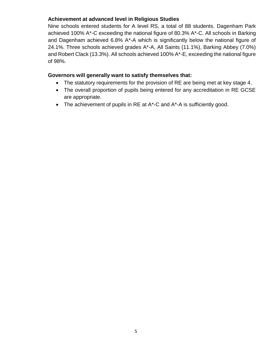#### **Achievement at advanced level in Religious Studies**

Nine schools entered students for A level RS, a total of 88 students. Dagenham Park achieved 100% A\*-C exceeding the national figure of 80.3% A\*-C. All schools in Barking and Dagenham achieved 6.8% A\*-A which is significantly below the national figure of 24.1%. Three schools achieved grades A\*-A, All Saints (11.1%), Barking Abbey (7.0%) and Robert Clack (13.3%). All schools achieved 100% A\*-E, exceeding the national figure of 98%.

#### **Governors will generally want to satisfy themselves that:**

- The statutory requirements for the provision of RE are being met at key stage 4.
- The overall proportion of pupils being entered for any accreditation in RE GCSE are appropriate.
- The achievement of pupils in RE at A\*-C and A\*-A is sufficiently good.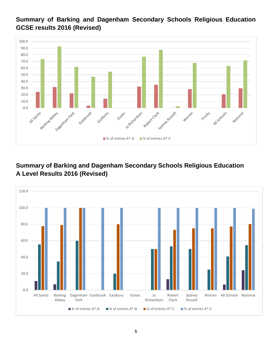### **Summary of Barking and Dagenham Secondary Schools Religious Education GCSE results 2016 (Revised)**



### **Summary of Barking and Dagenham Secondary Schools Religious Education A Level Results 2016 (Revised)**

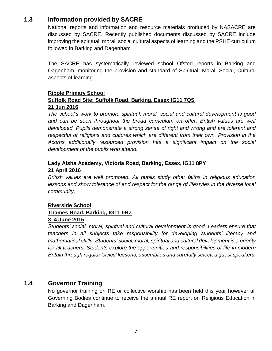### **1.3 Information provided by SACRE**

National reports and information and resource materials produced by NASACRE are discussed by SACRE. Recently published documents discussed by SACRE include improving the spiritual, moral, social cultural aspects of learning and the PSHE curriculum followed in Barking and Dagenham

The SACRE has systematically reviewed school Ofsted reports in Barking and Dagenham, monitoring the provision and standard of Spiritual, Moral, Social, Cultural aspects of learning.

#### **Ripple Primary School Suffolk Road Site: Suffolk Road, Barking, Essex IG11 7QS 21 Jun 2016**

*The school's work to promote spiritual, moral, social and cultural development is good*  and can be seen throughout the broad curriculum on offer. British values are well *developed. Pupils demonstrate a strong sense of right and wrong and are tolerant and respectful of religions and cultures which are different from their own. Provision in the Acorns additionally resourced provision has a significant impact on the social development of the pupils who attend.*

#### **Lady Aisha Academy, Victoria Road, Barking, Essex, IG11 8PY 21 April 2016**

*British values are well promoted. All pupils study other faiths in religious education lessons and show tolerance of and respect for the range of lifestyles in the diverse local community.*

#### **Riverside School**

#### **Thames Road, Barking, IG11 0HZ**

#### **3–4 June 2015**

*Students' social, moral, spiritual and cultural development is good. Leaders ensure that teachers in all subjects take responsibility for developing students' literacy and mathematical skills. Students' social, moral, spiritual and cultural development is a priority for all teachers. Students explore the opportunities and responsibilities of life in modern Britain through regular 'civics' lessons, assemblies and carefully selected guest speakers.*

### **1.4 Governor Training**

No governor training on RE or collective worship has been held this year however all Governing Bodies continue to receive the annual RE report on Religious Education in Barking and Dagenham.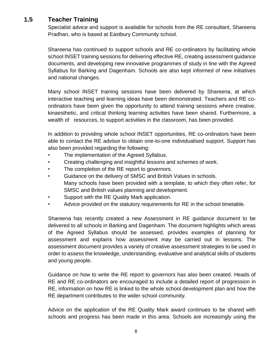### **1.5 Teacher Training**

Specialist advice and support is available for schools from the RE consultant, Shareena Pradhan, who is based at Eastbury Community school.

Shareena has continued to support schools and RE co-ordinators by facilitating whole school INSET training sessions for delivering effective RE, creating assessment guidance documents, and developing new innovative programmes of study in line with the Agreed Syllabus for Barking and Dagenham. Schools are also kept informed of new initiatives and national changes.

Many school INSET training sessions have been delivered by Shareena, at which interactive teaching and learning ideas have been demonstrated. Teachers and RE coordinators have been given the opportunity to attend training sessions where creative, kinaesthetic, and critical thinking learning activities have been shared. Furthermore, a wealth of resources, to support activities in the classroom, has been provided.

In addition to providing whole school INSET opportunities, RE co-ordinators have been able to contact the RE advisor to obtain one-to-one individualised support. Support has also been provided regarding the following:

- The implementation of the Agreed Syllabus.
- Creating challenging and insightful lessons and schemes of work.
- The completion of the RE report to governors.
- Guidance on the delivery of SMSC and British Values in schools. Many schools have been provided with a template, to which they often refer, for SMSC and British values planning and development.
- Support with the RE Quality Mark application.
- Advice provided on the statutory requirements for RE in the school timetable.

Shareena has recently created a new Assessment in RE guidance document to be delivered to all schools in Barking and Dagenham. The document highlights which areas of the Agreed Syllabus should be assessed, provides examples of planning for assessment and explains how assessment may be carried out in lessons. The assessment document provides a variety of creative assessment strategies to be used in order to assess the knowledge, understanding, evaluative and analytical skills of students and young people.

Guidance on how to write the RE report to governors has also been created. Heads of RE and RE co-ordinators are encouraged to include a detailed report of progression in RE, information on how RE is linked to the whole school development plan and how the RE department contributes to the wider school community.

Advice on the application of the RE Quality Mark award continues to be shared with schools and progress has been made in this area. Schools are increasingly using the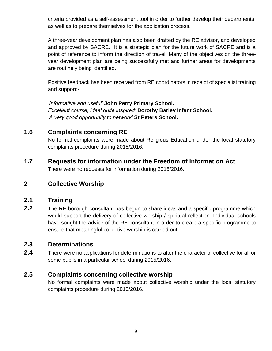criteria provided as a self-assessment tool in order to further develop their departments, as well as to prepare themselves for the application process.

A three-year development plan has also been drafted by the RE advisor, and developed and approved by SACRE. It is a strategic plan for the future work of SACRE and is a point of reference to inform the direction of travel. Many of the objectives on the threeyear development plan are being successfully met and further areas for developments are routinely being identified.

Positive feedback has been received from RE coordinators in receipt of specialist training and support:-

*'Informative and useful'* **John Perry Primary School.** *Excellent course, I feel quite inspired'* **Dorothy Barley Infant School.** *'A very good opportunity to network'* **St Peters School.**

### **1.6 Complaints concerning RE**

No formal complaints were made about Religious Education under the local statutory complaints procedure during 2015/2016.

**1.7 Requests for information under the Freedom of Information Act**

There were no requests for information during 2015/2016.

### **2 Collective Worship**

### **2.1 Training**

**2.2** The RE borough consultant has begun to share ideas and a specific programme which would support the delivery of collective worship / spiritual reflection. Individual schools have sought the advice of the RE consultant in order to create a specific programme to ensure that meaningful collective worship is carried out.

### **2.3 Determinations**

**2.4** There were no applications for determinations to alter the character of collective for all or some pupils in a particular school during 2015/2016.

### **2.5 Complaints concerning collective worship**

No formal complaints were made about collective worship under the local statutory complaints procedure during 2015/2016.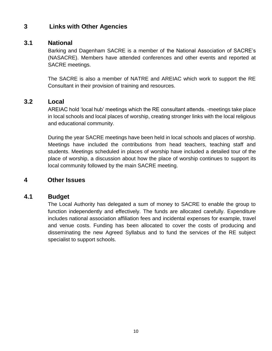### **3 Links with Other Agencies**

### **3.1 National**

Barking and Dagenham SACRE is a member of the National Association of SACRE's (NASACRE). Members have attended conferences and other events and reported at SACRE meetings.

The SACRE is also a member of NATRE and AREIAC which work to support the RE Consultant in their provision of training and resources.

#### **3.2 Local**

AREIAC hold 'local hub' meetings which the RE consultant attends. -meetings take place in local schools and local places of worship, creating stronger links with the local religious and educational community.

During the year SACRE meetings have been held in local schools and places of worship. Meetings have included the contributions from head teachers, teaching staff and students. Meetings scheduled in places of worship have included a detailed tour of the place of worship, a discussion about how the place of worship continues to support its local community followed by the main SACRE meeting.

#### **4 Other Issues**

#### **4.1 Budget**

The Local Authority has delegated a sum of money to SACRE to enable the group to function independently and effectively. The funds are allocated carefully. Expenditure includes national association affiliation fees and incidental expenses for example, travel and venue costs. Funding has been allocated to cover the costs of producing and disseminating the new Agreed Syllabus and to fund the services of the RE subject specialist to support schools.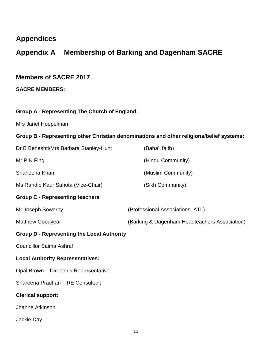### **Appendices**

### **Appendix A Membership of Barking and Dagenham SACRE**

### **Members of SACRE 2017**

**SACRE MEMBERS:**

#### **Group A - Representing The Church of England:**

Mrs Janet Hoepelman

#### **Group B - Representing other Christian denominations and other religions/belief systems:**

| Dr B Beheshti/Mrs Barbara Stanley-Hunt            | (Baha'i faith)                                |
|---------------------------------------------------|-----------------------------------------------|
| Mr $P N$ Fing                                     | (Hindu Community)                             |
| Shaheena Khan                                     | (Muslim Community)                            |
| Ms Randip Kaur Sahota (Vice-Chair)                | (Sikh Community)                              |
| <b>Group C - Representing teachers</b>            |                                               |
| Mr Joseph Sowerby                                 | (Professional Associations, ATL)              |
| <b>Matthew Goodyear</b>                           | (Barking & Dagenham Headteachers Association) |
| <b>Group D - Representing the Local Authority</b> |                                               |
| <b>Councillor Saima Ashraf</b>                    |                                               |
| <b>Local Authority Representatives:</b>           |                                               |
| Opal Brown - Director's Representative            |                                               |
| Shareena Pradhan - RE Consultant                  |                                               |
| <b>Clerical support:</b>                          |                                               |
| Joanne Atkinson                                   |                                               |
| Jackie Day                                        |                                               |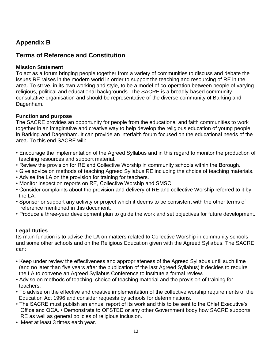### **Appendix B**

### **Terms of Reference and Constitution**

#### **Mission Statement**

To act as a forum bringing people together from a variety of communities to discuss and debate the issues RE raises in the modern world in order to support the teaching and resourcing of RE in the area. To strive, in its own working and style, to be a model of co-operation between people of varying religious, political and educational backgrounds. The SACRE is a broadly-based community consultative organisation and should be representative of the diverse community of Barking and Dagenham.

#### **Function and purpose**

The SACRE provides an opportunity for people from the educational and faith communities to work together in an imaginative and creative way to help develop the religious education of young people in Barking and Dagenham. It can provide an interfaith forum focused on the educational needs of the area. To this end SACRE will:

- Encourage the implementation of the Agreed Syllabus and in this regard to monitor the production of teaching resources and support material.
- Review the provision for RE and Collective Worship in community schools within the Borough.
- Give advice on methods of teaching Agreed Syllabus RE including the choice of teaching materials.
- Advise the LA on the provision for training for teachers.
- Monitor inspection reports on RE, Collective Worship and SMSC.
- Consider complaints about the provision and delivery of RE and collective Worship referred to it by the LA.
- Sponsor or support any activity or project which it deems to be consistent with the other terms of reference mentioned in this document.
- Produce a three-year development plan to guide the work and set objectives for future development.

#### **Legal Duties**

Its main function is to advise the LA on matters related to Collective Worship in community schools and some other schools and on the Religious Education given with the Agreed Syllabus. The SACRE can:

- Keep under review the effectiveness and appropriateness of the Agreed Syllabus until such time (and no later than five years after the publication of the last Agreed Syllabus) it decides to require the LA to convene an Agreed Syllabus Conference to institute a formal review.
- Advise on methods of teaching, choice of teaching material and the provision of training for teachers.
- To advise on the effective and creative implementation of the collective worship requirements of the Education Act 1996 and consider requests by schools for determinations.
- The SACRE must publish an annual report of its work and this to be sent to the Chief Executive's Office and QCA. • Demonstrate to OFSTED or any other Government body how SACRE supports RE as well as general policies of religious inclusion.
- Meet at least 3 times each year.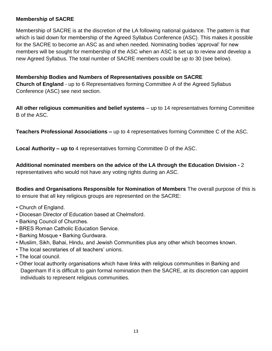#### **Membership of SACRE**

Membership of SACRE is at the discretion of the LA following national guidance. The pattern is that which is laid down for membership of the Agreed Syllabus Conference (ASC). This makes it possible for the SACRE to become an ASC as and when needed. Nominating bodies 'approval' for new members will be sought for membership of the ASC when an ASC is set up to review and develop a new Agreed Syllabus. The total number of SACRE members could be *up to* 30 (see below).

#### **Membership Bodies and Numbers of Representatives possible on SACRE Church of England** - up to 6 Representatives forming Committee A of the Agreed Syllabus Conference (ASC) see next section.

**All other religious communities and belief systems** – up to 14 representatives forming Committee B of the ASC.

**Teachers Professional Associations –** up to 4 representatives forming Committee C of the ASC.

**Local Authority – up to** 4 representatives forming Committee D of the ASC.

**Additional nominated members on the advice of the LA through the Education Division -** 2

representatives who would not have any voting rights during an ASC.

**Bodies and Organisations Responsible for Nomination of Members** The overall purpose of this is to ensure that all key religious groups are represented on the SACRE:

- Church of England.
- Diocesan Director of Education based at Chelmsford.
- Barking Council of Churches.
- BRES Roman Catholic Education Service.
- Barking Mosque Barking Gurdwara.
- Muslim, Sikh, Bahai, Hindu, and Jewish Communities plus any other which becomes known.
- The local secretaries of all teachers' unions.
- The local council.
- Other local authority organisations which have links with religious communities in Barking and Dagenham If it is difficult to gain formal nomination then the SACRE, at its discretion can appoint individuals to represent religious communities.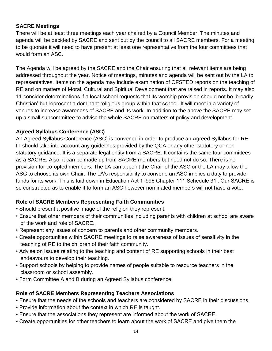#### **SACRE Meetings**

There will be at least three meetings each year chaired by a Council Member. The minutes and agenda will be decided by SACRE and sent out by the council to all SACRE members. For a meeting to be quorate it will need to have present at least one representative from the four committees that would form an ASC.

The Agenda will be agreed by the SACRE and the Chair ensuring that all relevant items are being addressed throughout the year. Notice of meetings, minutes and agenda will be sent out by the LA to representatives. Items on the agenda may include examination of OFSTED reports on the teaching of RE and on matters of Moral, Cultural and Spiritual Development that are raised in reports. It may also 11 consider determinations if a local school requests that its worship provision should not be 'broadly Christian' but represent a dominant religious group within that school. It will meet in a variety of venues to increase awareness of SACRE and its work. In addition to the above the SACRE may set up a small subcommittee to advise the whole SACRE on matters of policy and development.

#### **Agreed Syllabus Conference (ASC)**

An Agreed Syllabus Conference (ASC) is convened in order to produce an Agreed Syllabus for RE. IT should take into account any guidelines provided by the QCA or any other statutory or nonstatutory guidance. It is a separate legal entity from a SACRE. It contains the same four committees as a SACRE. Also, it can be made up from SACRE members but need not do so. There is no provision for co-opted members. The LA can appoint the Chair of the ASC or the LA may allow the ASC to choose its own Chair. The LA's responsibility to convene an ASC implies a duty to provide funds for its work. This is laid down in Education Act 1 '996 Chapter 111 Schedule 31'. Our SACRE is so constructed as to enable it to form an ASC however nominated members will not have a vote.

#### **Role of SACRE Members Representing Faith Communities**

- Should present a positive image of the religion they represent.
- Ensure that other members of their communities including parents with children at school are aware of the work and role of SACRE.
- Represent any issues of concern to parents and other community members.
- Create opportunities within SACRE meetings to raise awareness of issues of sensitivity in the teaching of RE to the children of their faith community.
- Advise on issues relating to the teaching and content of RE supporting schools in their best endeavours to develop their teaching.
- Support schools by helping to provide names of people suitable to resource teachers in the classroom or school assembly.
- Form Committee A and B during an Agreed Syllabus conference.

#### **Role of SACRE Members Representing Teachers Associations**

- Ensure that the needs of the schools and teachers are considered by SACRE in their discussions.
- Provide information about the context in which RE is taught.
- Ensure that the associations they represent are informed about the work of SACRE.
- Create opportunities for other teachers to learn about the work of SACRE and give them the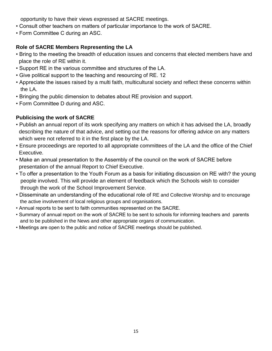opportunity to have their views expressed at SACRE meetings.

- Consult other teachers on matters of particular importance to the work of SACRE.
- Form Committee C during an ASC.

### **Role of SACRE Members Representing the LA**

- Bring to the meeting the breadth of education issues and concerns that elected members have and place the role of RE within it.
- Support RE in the various committee and structures of the LA.
- Give political support to the teaching and resourcing of RE. 12
- Appreciate the issues raised by a multi faith, multicultural society and reflect these concerns within the LA.
- Bringing the public dimension to debates about RE provision and support.
- Form Committee D during and ASC.

#### **Publicising the work of SACRE**

- Publish an annual report of its work specifying any matters on which it has advised the LA, broadly describing the nature of that advice, and setting out the reasons for offering advice on any matters which were not referred to it in the first place by the LA.
- Ensure proceedings are reported to all appropriate committees of the LA and the office of the Chief Executive.
- Make an annual presentation to the Assembly of the council on the work of SACRE before presentation of the annual Report to Chief Executive.
- To offer a presentation to the Youth Forum as a basis for initiating discussion on RE with? the young people involved. This will provide an element of feedback which the Schools wish to consider through the work of the School Improvement Service.
- Disseminate an understanding of the educational role of RE and Collective Worship and to encourage the active involvement of local religious groups and organisations.
- Annual reports to be sent to faith communities represented on the SACRE.
- Summary of annual report on the work of SACRE to be sent to schools for informing teachers and parents and to be published in the News and other appropriate organs of communication.
- Meetings are open to the public and notice of SACRE meetings should be published.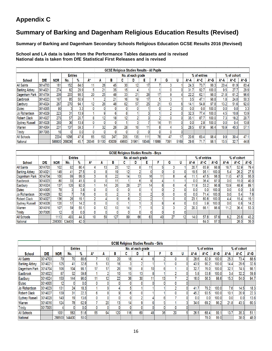### **Appendix C**

### **Summary of Barking and Dagenham Religious Education Results (Revised)**

**Summary of Barking and Dagenham Secondary Schools Religious Education GCSE Results 2016 (Revised)**

#### **School and LA data is taken from the Performance Tables datasets and is revised National data is taken from DfE Statistical First Releases and is revised**

|                      |            |                 |                |      |                 |                 | <b>GCSE Religious Studies Results - All Pupils</b> |                 |                   |       |                 |                  |      |       |              |       |      |                  |      |
|----------------------|------------|-----------------|----------------|------|-----------------|-----------------|----------------------------------------------------|-----------------|-------------------|-------|-----------------|------------------|------|-------|--------------|-------|------|------------------|------|
|                      |            |                 | <b>Entries</b> |      |                 |                 |                                                    |                 | No. at each grade |       |                 |                  |      |       | % of entries |       |      | % of cohort      |      |
| <b>School</b>        | <b>DfE</b> | <b>NOR</b>      | No.            | $\%$ | A*              |                 | в                                                  | C               | D                 | E     |                 | G                | U    | ۸* А  | A* C         | A*-G  | А*-А | $A^*C$           | A* G |
| <b>All Saints</b>    | 3014703    | 181             | 152            | 84.0 | 11 <sub>1</sub> | 26 <sub>1</sub> | 45                                                 | 30 <sup>1</sup> | 12                | 17    |                 |                  |      | 24.3  | 73.7         | 99.3  | 20.4 | 61.9             | 83.4 |
| <b>Barking Abbey</b> | 3014021    | 274             | 82             | 29.9 | 5.              | 21              | 35                                                 | 15              |                   |       |                 | D.               |      | 31.7  | 92.7         | 100.0 | 9.5  | 27.7             | 29.9 |
| Dagenham Park        | 3014704    | 206             | 203            | 98.5 | 20              | 25              | 48                                                 | 33              | 21                | 26    | 47              | 9.               |      | 22.2  | 62.1         | 98.0  | 21.8 | 61.2             | 96.6 |
| Eastbrook            | 3014023    | 167             | 85             | 50.9 |                 |                 | 21                                                 | 16 <sub>1</sub> | 19                | 17    |                 |                  |      | 3.5   | 47.1         | 98.8  | 1.8  | 24.0             | 50.3 |
| Eastbury             | 3014024    | 287             | 270            | 94.  | 12 <sub>1</sub> | 26 <sub>1</sub> | 48                                                 | 62              | 57                | 25    | 21              | 13 <sup>13</sup> |      | 14.1  | 54.8         | 97.8  | 13.2 | 51.6             | 92.0 |
| <b>Elutec</b>        | 3014005    | 90 <sub>1</sub> |                | 3.3  | $\mathbf{0}$    |                 |                                                    |                 |                   |       |                 | 2 <sub>1</sub>   |      | 0.0   | 0.0          | 100.0 | 0.0  | 0.0 <sub>1</sub> | 3.3  |
| Jo Richardson        | 3014029    | 223             | 31             | 13.9 |                 | 9               |                                                    |                 |                   |       |                 |                  |      | 32.3  | 77.4         | 100.0 | 4.5  | 10.8             | 13.9 |
| <b>Robert Clack</b>  | 3014027    | 275             | 57             | 20.7 | 8               | 12              | 18                                                 | 12              |                   |       |                 | 0.               |      | 35.   | 87.7         | 100.0 | 7.3  | 18.2             | 20.7 |
| Sydney Russell       | 3014028    | 260             | 36             | 13.8 | 0               |                 |                                                    |                 |                   |       | 14              | 11.              |      | 0.0   | 2.8          | 100.0 | 0.0  | 0.4              | 13.8 |
| Warren               | 3014004    | 231             | 137            | 59.3 |                 | 32              | 26                                                 | 28              | 16                |       |                 |                  |      | 28.5  | 67.9         | 96.4  | 16.9 | 40.3             | 57.1 |
| <b>Trinity</b>       | 3017005    | 16 <sup>1</sup> |                | 0.0  | $\mathbf{0}$    |                 |                                                    |                 |                   |       |                 |                  |      |       |              |       |      |                  |      |
| <b>All Schools</b>   |            | 2204            | 1056           | 47.9 | 65              | 153             | 247                                                | 205             | 135               | 411.  | 76 <sub>1</sub> | 47               | 17   | 20.6  | 63.4         | 98.4  | 9.9  | 30.4             | 47.1 |
| National             |            | 586800          | 268036         | 45.7 | 28346           | 51100           | 63039                                              | 49683           | 31961             | 19348 | 1999            | 7391             | 5169 | 29.6I | 71.7         | 98.   | 13.5 | 32.7             | 44.8 |

|                       |            |                 |                |      |                 |                 |                 | <b>GCSE Religious Studies Results - Boys</b> |                   |                 |    |                 |    |                   |              |          |        |             |          |
|-----------------------|------------|-----------------|----------------|------|-----------------|-----------------|-----------------|----------------------------------------------|-------------------|-----------------|----|-----------------|----|-------------------|--------------|----------|--------|-------------|----------|
|                       |            |                 | <b>Entries</b> |      |                 |                 |                 |                                              | No. at each grade |                 |    |                 |    |                   | % of entries |          |        | % of cohort |          |
| <b>School</b>         | <b>DfE</b> | <b>NOR</b>      | No.            | %    | A*              | A               | в               | u                                            | D                 | Е               |    | G               | u  | А*-А              | $A^*.C$      | $A^*$ -G | $A^*A$ | А*-С        | $A^*$ -G |
| <b>All Saints</b>     | 3014703    | 102             | 82             | 80.4 |                 | 13 <sub>1</sub> | 25              | 12                                           |                   |                 |    |                 |    | 20.7              | 65.9         | 98.8     | 16.7   | 52.9        | 79.4     |
| <b>Barking Abbey</b>  | 3014021    | 149             | 41             | 27.5 |                 | 8               | 19              | 12 <sub>1</sub>                              |                   | 01              |    |                 |    | 19.5              | 95.1         | 100.0    | 5.4    | 26.2        | 27.5     |
| Dagenham Park         | 3014704    | 100             | 99             | 99.0 | 3               | 81              | 22              | 14                                           | 13 <sub>1</sub>   | 16 <sup>1</sup> |    | 8               |    | 11.1 <sub>1</sub> | 47.5         | 96.0     | 11.0   | 47.0        | 95.0     |
| Eastbrook             | 3014023    | 80 <sup>2</sup> | 33             | 41.3 | $\Omega$        | 01              | 11              |                                              |                   | 9               |    |                 |    | 0.0               | 36.4         | 97.0     | 0.0    | 15.0        | 40.0     |
| Eastbury              | 3014024    | 137             | 126            | 92.0 |                 | 14              | 26 <sub>1</sub> | 26                                           | 27                | 141             |    | 6               |    | 11.9              | 53.2         | 96.8     | 10.9   | 48.9        | 89.1     |
| Elutec                | 3014005    | 78              |                | 3.8  | 0               | 01              |                 |                                              |                   |                 |    | n               |    | 0.0               | 0.0          | 100.0    | 0.0    | 0.0         | 3.8      |
| Jo Richardson         | 3014029    | 92              |                | 7.6  | $\mathbf{0}$    | 0               |                 |                                              |                   |                 |    | 0               |    | 0.0               | 71.4         | 100.0    | 0.0    | 5.4         | 7.6      |
| <b>Robert Clack</b>   | 3014027    | 1361            | 26             | 19.1 | $\sqrt{2}$      |                 |                 |                                              |                   |                 |    | 0               |    | 23.1              | 80.8         | 100.0    | 4.4    | 15.4        | 19.1     |
| <b>Sydney Russell</b> | 3014028    | 120             | 17             | 14.2 | $\mathbf{0}$    | 0               |                 |                                              |                   |                 |    |                 |    | 0.0               | 5.9          | 100.0    | 0.0    | 0.8         | 14.2     |
| Warren                | 3014016    | 107             | 59             | 55.1 | $\mathbf{0}$    | 12              | 13              | 14                                           |                   |                 |    | n               |    | 20.3              | 66.1         | 96.6     | 11.2   | 36.4        | 53.3     |
| <b>Trinity</b>        | 3017005    | 12 <sub>1</sub> |                | 0.0  | 0.              | 01              |                 |                                              |                   | 01              |    | 0               |    |                   |              |          |        |             |          |
| <b>All Schools</b>    |            | 1113            | 493            | 44.3 | 10 <sup>°</sup> | 59              | 127             | 89                                           | 66                | 63              | 40 | 27 <sub>1</sub> | 12 | 14.0              | 57.8         | 97.6     | 6.2    | 25.6        | 43.2     |
| <b>National</b>       |            | 298300          | 124400         | 42.0 |                 |                 |                 |                                              |                   |                 |    |                 |    |                   | 64.0         | 97.0     |        | 26.0        | 39.0     |

|                       |            |            |                |      |              |                 |                 |                 |                   | <b>GCSE Religious Studies Results - Girls</b> |                 |    |   |      |              |          |      |             |          |
|-----------------------|------------|------------|----------------|------|--------------|-----------------|-----------------|-----------------|-------------------|-----------------------------------------------|-----------------|----|---|------|--------------|----------|------|-------------|----------|
|                       |            |            | <b>Entries</b> |      |              |                 |                 |                 | No. at each grade |                                               |                 |    |   |      | % of entries |          |      | % of cohort |          |
| <b>School</b>         | <b>DfE</b> | <b>NOR</b> | No.            | %    | ۸*           |                 | в               | ∼<br>u          | D                 | E                                             |                 | G  | U | ۸* A | A*-C         | $A^*$ -G | А* А | A* C        | $A^*$ -G |
| <b>All Saints</b>     | 3014703    | 79         | 70             | 88.6 |              | 13              | 20 <sub>l</sub> | 18 <sub>1</sub> |                   |                                               |                 | 0  |   | 28.6 | 82.9         | 100.0    | 25.3 | 73.4        | 88.6     |
| <b>Barking Abbey</b>  | 3014021    | 125        | 41             | 32.8 | 5.           | 13 <sub>l</sub> | 16 <sub>1</sub> |                 |                   |                                               |                 | 0  |   | 43.9 | 90.2         | 100.0    | 14.4 | 29.6        | 32.8     |
| Dagenham Park         | 3014704    | 106        | 104            | 98.1 | 17           | 17              | 26              | 19              |                   | 10 <sub>1</sub>                               | 6               |    |   | 32.7 | 76.0         | 100.0    | 32.1 | 74.5        | 98.1     |
| Eastbrook             | 3014023    | 87         | 52             | 59.8 |              |                 | 10 <sup>1</sup> | 15              | 13                |                                               |                 | 2  |   | 5.8  | 53.8         | 100.0    | 3.4  | 32.2        | 59.8     |
| Eastbury              | 3014024    | 150        | 144            | 96.0 | 11           | 12              | 22              | 36              | 30                | 11                                            | 13              |    |   | 16.0 | 56.3         | 98.6     | 15.3 | 54.0        | 94.7     |
| Elutec                | 3014005    | 12         |                | 0.0  | 0            |                 |                 |                 |                   |                                               |                 | 0  |   |      |              |          |      |             |          |
| Jo Richardson         | 3014029    | 131        | 24             | 18.3 |              |                 |                 |                 |                   |                                               |                 |    |   | 41.7 | 79.2         | 100.0    | 7.6  | 14.5        | 18.3     |
| <b>Robert Clack</b>   | 3014027    | 139        | 31             | 22.3 | 6            | õ               |                 |                 |                   |                                               |                 |    |   | 45.2 | 93.5         | 100.0    | 10.1 | 20.9        | 22.3     |
| <b>Sydney Russell</b> | 3014028    | 140        | 19             | 13.6 | 0            |                 |                 |                 |                   |                                               |                 |    |   | 0.0  | 0.0          | 100.0    | 0.0  | 0.0         | 13.6     |
| Warren                | 3014016    | 124        | 78             | 62.9 |              | 20              | 13 <sub>1</sub> | 14              |                   |                                               |                 |    |   | 34.6 | 69.2         | 96.2     | 21.8 | 43.5        | 60.5     |
| <b>Trinity</b>        | 3017005    |            |                | 0.0  | $\mathbf{0}$ |                 |                 |                 |                   |                                               |                 | 0  |   |      |              |          |      |             |          |
| <b>All Schools</b>    |            | 1091       | 563            | 51.6 | 55           | 94              | 120             | 116             | 69                | 48                                            | 36 <sub>1</sub> | 20 |   | 26.5 | 68.4         | 99.7     | 13.7 | 35.3        | 51.1     |
| National              |            | 288500     | 144400         | 50.0 |              |                 |                 |                 |                   |                                               |                 |    |   |      | 78.0         | 99.0     |      | 38.0        | 48.0     |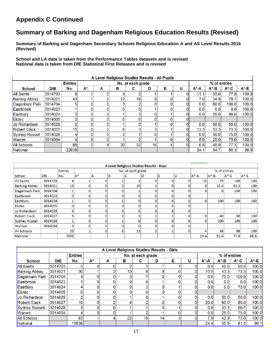### **Appendix C Continued**

### **Summary of Barking and Dagenham Religious Education Results (Revised)**

**Summary of Barking and Dagenham Secondary Schools Religious Education A and AS Level Results 2016 (Revised)**

**School and LA data is taken from the Performance Tables datasets and is revised National data is taken from DfE Statistical First Releases and is revised**

|                       |            |                 |       |          |              | A Level Religious Studies Results - All Pupils |              |   |    |           |              |          |          |
|-----------------------|------------|-----------------|-------|----------|--------------|------------------------------------------------|--------------|---|----|-----------|--------------|----------|----------|
|                       |            | <b>Entries</b>  |       |          |              | No. at each grade                              |              |   |    |           | % of entries |          |          |
| <b>School</b>         | <b>DfE</b> | No.             | $A^*$ | А        | в            | С                                              | D            | Е | U  | $A^* - A$ | A*-B         | $A^*$ -C | $A^*$ -E |
| <b>All Saints</b>     | 3014703    | 9               |       |          | 4            |                                                |              |   | 0  | 11.1      | 55.6         | 77.8     | 100.0    |
| <b>Barking Abbey</b>  | 3014021    | 43              |       | 2        | 12           | 19                                             | 9            |   | 0  | 7.0       | 34.9         | 79.1     | 100.0    |
| Dagenham Park         | 3014704    |                 | 0     |          | 3            |                                                | 0            |   | 0  | 0.0       | 60.0         | 100.0    | 100.0    |
| <b>Eastbrook</b>      | 3014023    |                 | 0     |          | 0            |                                                |              |   | O  | 0.0       | 0.0          | 0.0      | 100.0    |
| Eastbury              | 3014024    | 5               | 0     |          |              |                                                | 0            |   |    | 0.0       | 20.0         | 80.0     | 100.0    |
| Elutec                | 3014005    |                 | 0     |          | $\mathbf{0}$ |                                                | 0            |   |    |           |              |          |          |
| Jo Richardson         | 3014029    | n               | 0     |          |              |                                                |              |   | 0  | 0.0       | 50.0         | 50.0     | 100.0    |
| <b>Robert Clack</b>   | 3014027    | 15 <sub>1</sub> | 0     | 2        | 6            |                                                | ∽            |   | 0  | 13.3      | 53.3         | 73.3     | 100.0    |
| <b>Sydney Russell</b> | 3014028    |                 | 0     |          | 2            |                                                | $\mathbf{0}$ |   | O  | 0.0       | 50.0         | 75.0     | 100.0    |
| Warren                | 3014004    | 4               | 0     | $\Omega$ |              | ⌒                                              |              |   | 01 | 0.0       | 25.0         | 75.0     | 100.0    |
| <b>All Schools</b>    |            | 88              | 2     | 4        | 30           | 32                                             | 16           |   | 0  | 6.8       | 40.9         | 77.3     | 100.0    |
| <b>National</b>       |            | 22638           |       |          |              |                                                |              |   |    | 24.1      | 54.7         | 80.3     | 98.9     |

|                       |            |                 |       |   | A Level Religious Studies Results - Boys |                   |   |   |   |           |              |          |        |
|-----------------------|------------|-----------------|-------|---|------------------------------------------|-------------------|---|---|---|-----------|--------------|----------|--------|
|                       |            | <b>Entries</b>  |       |   |                                          | No. at each grade |   |   |   |           | % of entries |          |        |
| School                | <b>DfE</b> | No.             | $A^*$ | Α | B                                        |                   | D | E | υ | $A^* - A$ | $A^* - B$    | $A^*$ -C | $A^*E$ |
| <b>All Saints</b>     | 3014703    |                 |       | 0 |                                          |                   |   |   |   | 25        | 75.          | 100      | 100    |
| <b>Barking Abbey</b>  | 3014021    | 13 <sub>1</sub> |       | 0 |                                          | 10                |   |   |   | 0         | 15.4         | 92.3     | 100    |
| Dagenham Park         | 3014704    |                 |       | 0 |                                          |                   |   |   |   |           |              | 100      | 100    |
| Eastbrook             | 3014023    | 0l              |       | o | C                                        | 0                 |   |   |   |           |              |          |        |
| Eastbury              | 3014024    |                 |       | O |                                          | 0                 |   |   |   |           | 100          | 100      | 100    |
| <b>Elutec</b>         | 3014005    | 0               |       | o |                                          | 0                 |   |   |   |           |              |          |        |
| Jo Richardson         | 3014029    | 01              |       |   |                                          | 0                 |   |   |   |           |              |          |        |
| <b>Robert Clack</b>   | 3014027    | 5.              |       | o |                                          |                   |   |   |   |           | 40           | 60       | 100    |
| <b>Sydney Russell</b> | 3014028    |                 |       |   |                                          | 0                 |   |   |   |           | 100          | 100      | 100    |
| Warren                | 3014004    | ΩI              |       |   |                                          | 0                 |   |   |   |           |              |          |        |
| <b>All Schools</b>    |            | 25              |       | 0 |                                          | 13                |   |   |   |           | 36           | 88       | 100    |
| National              |            | 7002            |       |   |                                          |                   |   |   |   | 23.4      | 51.8         | 77.6     | 98.6   |

|                       |            |                |          |          | A Level Religious Studies Results - Girls |                   |    |   |   |           |              |          |       |
|-----------------------|------------|----------------|----------|----------|-------------------------------------------|-------------------|----|---|---|-----------|--------------|----------|-------|
|                       |            | <b>Entries</b> |          |          |                                           | No. at each grade |    |   |   |           | % of entries |          |       |
| <b>School</b>         | <b>DfE</b> | No.            | A*       | A        | в                                         | c                 | D  | Е | u | $A^* - A$ | $A^*$ -B     | $A^*$ -C | A*-E  |
| <b>All Saints</b>     | 3014703    |                |          |          | o                                         |                   |    |   | 0 | 0.0       | 40.0         | 60.0     | 100.0 |
| <b>Barking Abbey</b>  | 3014021    | 30             |          |          | 10                                        | 9                 | 8  |   |   | 10.0      | 43.3         | 73.3     | 100.0 |
| Dagenham Park         | 3014704    |                | 0        |          | 3                                         |                   | 0  |   | 0 | 0.0       | 75.0         | 100.0    | 100.0 |
| Eastbrook             | 3014023    |                |          |          | 0                                         |                   |    |   | ٥ | 0.0       | 0.0          | 0.0      | 100.0 |
| Eastbury              | 3014024    |                |          |          | $\Omega$                                  |                   | 0  |   |   | 0.0       | 0.0          | 75.0     | 100.0 |
| <b>Elutec</b>         | 3014005    |                |          |          | 0                                         |                   |    |   |   |           |              |          |       |
| <b>Jo Richardson</b>  | 3014029    |                |          |          |                                           |                   |    |   |   | 0.0       | 50.0         | 50.0     | 100.0 |
| <b>Robert Clack</b>   | 3014027    | 10             | $\Omega$ |          | 4                                         |                   | n  |   | 0 | 20.0      | 60.0         | 80.0     | 100.0 |
| <b>Sydney Russell</b> | 3014028    |                |          |          |                                           |                   |    |   |   | 0.0       | 33.3         | 66.7     | 100.0 |
| <b>Warren</b>         | 3014004    |                |          | $\Omega$ |                                           | ◠                 |    | 0 | 0 | 0.0       | 25.0         | 75.0     | 100.0 |
| All Schools           |            | 63             |          |          | 22                                        | 19                | 14 | 3 | 0 | 7.9       | 42.9         | 73.0     | 100.0 |
| National              |            | 15636          |          |          |                                           |                   |    |   |   | 24.4      | 55.9         | 81.5     | 99.1  |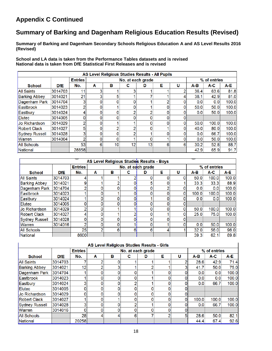### **Appendix C Continued**

### **Summary of Barking and Dagenham Religious Education Results (Revised)**

**Summary of Barking and Dagenham Secondary Schools Religious Education A and AS Level Results 2016 (Revised)**

**School and LA data is taken from the Performance Tables datasets and is revised National data is taken from DfE Statistical First Releases and is revised**

|                       |            |                |   | AS Level Religious Studies Results - All Pupils |                   |    |   |   |       |              |       |
|-----------------------|------------|----------------|---|-------------------------------------------------|-------------------|----|---|---|-------|--------------|-------|
|                       |            | <b>Entries</b> |   |                                                 | No. at each grade |    |   |   |       | % of entries |       |
| <b>School</b>         | <b>DfE</b> | No.            | A | в                                               | с                 | D  | Е | U | $A-B$ | A-C          | A-E   |
| <b>All Saints</b>     | 3014703    | 11             | 3 |                                                 |                   |    |   |   | 36.4  | 63.6         | 81.8  |
| <b>Barking Abbey</b>  | 3014021    | 21             | 3 | 5                                               |                   |    |   |   | 38.1  | 42.9         | 81.0  |
| Dagenham Park         | 3014704    | 3              | 0 | 0                                               |                   |    |   |   | 0.0   | 0.0          | 100.0 |
| Eastbrook             | 3014023    | 2              | 0 |                                                 | 0                 |    |   |   | 50.0  | 50.0         | 100.0 |
| Eastbury              | 3014024    | 4              | 0 | 0                                               | ึ                 | Ω  |   |   | 0.0   | 50.0         | 100.0 |
| Elutec                | 3014005    | 0              | 0 | 0                                               |                   |    |   |   |       |              |       |
| Jo Richardson         | 3014029    | n              | 0 |                                                 |                   |    |   |   | 50.0  | 100.0        | 100.0 |
| <b>Robert Clack</b>   | 3014027    | 5              | 0 | 2                                               | ◠                 |    |   |   | 40.0  | 80.0         | 100.0 |
| <b>Sydney Russell</b> | 3014028    | 3              | 0 | 0                                               | ◠                 |    |   |   | 0.0   | 66.7         | 100.0 |
| Warren                | 3014004    | o              | 0 | 0                                               |                   | 0  |   |   | 0.0   | 50.0         | 100.0 |
| <b>All Schools</b>    |            | 53             | 6 | 10 <sup>1</sup>                                 | 12                | 13 | 6 | 6 | 30.2  | 52.8         | 88.7  |
| National              |            | 28858          |   |                                                 |                   |    |   |   | 42.9  | 65.9         | 91.7  |

|                       |            |                |                |   | AS Level Religious Studies Results - Boys |   |   |   |       |              |       |
|-----------------------|------------|----------------|----------------|---|-------------------------------------------|---|---|---|-------|--------------|-------|
|                       |            | <b>Entries</b> |                |   | No. at each grade                         |   |   |   |       | % of entries |       |
| <b>School</b>         | <b>DfE</b> | No.            | Α              | в | с                                         | D | Е | U | A-B   | A-C          | A-E   |
| All Saints            | 3014703    |                |                |   |                                           |   |   |   | 50.0  | 100.0        | 100.0 |
| <b>Barking Abbey</b>  | 3014021    | 9              |                |   |                                           |   |   |   | 33.3  | 33.3         | 88.9  |
| Dagenham Park         | 3014704    |                | 0              |   |                                           |   |   |   | 0.0   | 0.0          | 100.0 |
| Eastbrook             | 3014023    |                | 0              |   |                                           |   |   |   | 100.0 | 100.0        | 100.0 |
| Eastbury              | 3014024    |                | 0              | 0 |                                           |   |   |   | 0.0   | 0.0          | 100.0 |
| Elutec                | 3014005    |                | 0              | 0 |                                           |   |   |   |       |              |       |
| Jo Richardson         | 3014029    |                | 0              |   |                                           |   |   |   | 50.0  | 100.0        | 100.0 |
| Robert Clack          | 3014027    |                | 0              |   |                                           |   |   |   | 25.0  | 75.0         | 100.0 |
| <b>Sydney Russell</b> | 3014028    |                | 0              | 0 |                                           |   |   |   |       |              |       |
| Warren                | 3014016    |                | 0              | 0 |                                           |   |   |   | 0.0   | 50.0         | 100.0 |
| All Schools           |            | 25             | $\overline{2}$ | 6 | 61                                        | 6 | 4 |   | 32.0  | 56.0         | 96.0  |
| National              |            | 8600           |                |   |                                           |   |   |   | 39.3  | 62.1         | 89.8  |

|                      |            |                |   |   | AS Level Religious Studies Results - Girls |   |   |   |       |              |       |
|----------------------|------------|----------------|---|---|--------------------------------------------|---|---|---|-------|--------------|-------|
|                      |            | <b>Entries</b> |   |   | No. at each grade                          |   |   |   |       | % of entries |       |
| <b>School</b>        | <b>DfE</b> | No.            | A | в | с                                          | D | Е | U | $A-B$ | A-C          | A-E   |
| <b>All Saints</b>    | 3014703    |                | 2 |   |                                            |   |   |   | 28.6  | 42.9         | 71.4  |
| <b>Barking Abbey</b> | 3014021    | 12             | 2 | 2 |                                            | n |   |   | 41.7  | 50.0         | 75.0  |
| Dagenham Park        | 3014704    |                | 0 |   |                                            |   |   |   | 0.0   | 0.0          | 100.0 |
| Eastbrook            | 3014023    |                | 0 |   |                                            |   |   |   | 0.0   | 0.0          | 100.0 |
| Eastbury             | 3014024    | ٠              | 0 |   |                                            |   |   |   | 0.0   | 66.7         | 100.0 |
| Elutec               | 3014005    | 0              | 0 |   |                                            |   |   |   |       |              |       |
| Uo Richardson        | 3014029    | 0              | 0 |   |                                            |   |   |   |       |              |       |
| <b>Robert Clack</b>  | 3014027    |                | 0 |   |                                            |   |   |   | 100.0 | 100.0        | 100.0 |
| Svdnev Russell       | 3014028    | っ              | 0 |   |                                            |   |   |   | 0.0   | 66.7         | 100.0 |
| <b>Warren</b>        | 3014016    | $\Omega$       | 0 |   |                                            | O |   |   |       |              |       |
| All Schools          |            | 28             | 4 |   | 6                                          |   |   |   | 28.6  | 50.0         | 82.1  |
| <b>National</b>      |            | 20258          |   |   |                                            |   |   |   | 44.4  | 67.4         | 92.6  |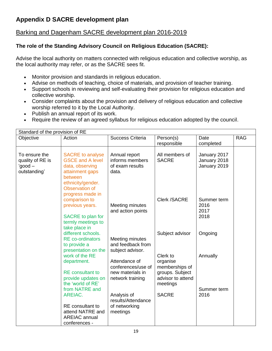### Barking and Dagenham SACRE development plan 2016-2019

### **The role of the Standing Advisory Council on Religious Education (SACRE):**

Advise the local authority on matters connected with religious education and collective worship, as the local authority may refer, or as the SACRE sees fit.

- Monitor provision and standards in religious education.
- Advise on methods of teaching, choice of materials, and provision of teacher training.
- Support schools in reviewing and self-evaluating their provision for religious education and collective worship.
- Consider complaints about the provision and delivery of religious education and collective worship referred to it by the Local Authority.
- Publish an annual report of its work.
- Require the review of an agreed syllabus for religious education adopted by the council.

| Standard of the provision of RE |                                     |                         |                     |                     |            |
|---------------------------------|-------------------------------------|-------------------------|---------------------|---------------------|------------|
| Objective                       | Action                              | <b>Success Criteria</b> | Person(s)           | Date                | <b>RAG</b> |
|                                 |                                     |                         | responsible         | completed           |            |
| To ensure the                   | <b>SACRE</b> to analyse             | Annual report           | All members of      | January 2017        |            |
| quality of RE is                | <b>GSCE and A level</b>             | informs members         | <b>SACRE</b>        | January 2018        |            |
| 'good –                         | data, observing                     | of exam results         |                     | January 2019        |            |
| outstanding'                    | attainment gaps                     | data.                   |                     |                     |            |
|                                 | between                             |                         |                     |                     |            |
|                                 | ethnicity/gender.                   |                         |                     |                     |            |
|                                 | Observation of                      |                         |                     |                     |            |
|                                 | progress made in                    |                         |                     |                     |            |
|                                 | comparison to                       |                         | <b>Clerk /SACRE</b> | Summer term         |            |
|                                 | previous years.                     | Meeting minutes         |                     | 2016                |            |
|                                 |                                     | and action points       |                     | 2017                |            |
|                                 | SACRE to plan for                   |                         |                     | 2018                |            |
|                                 | termly meetings to<br>take place in |                         |                     |                     |            |
|                                 | different schools.                  |                         | Subject advisor     | Ongoing             |            |
|                                 | <b>RE</b> co-ordinators             | Meeting minutes         |                     |                     |            |
|                                 | to provide a                        | and feedback from       |                     |                     |            |
|                                 | presentation on the                 | subject advisor.        |                     |                     |            |
|                                 | work of the RE                      |                         | Clerk to            | Annually            |            |
|                                 | department.                         | Attendance of           | organise            |                     |            |
|                                 |                                     | conferences/use of      | memberships of      |                     |            |
|                                 | <b>RE</b> consultant to             | new materials in        | groups. Subject     |                     |            |
|                                 | provide updates on                  | network training        | advisor to attend   |                     |            |
|                                 | the 'world of RE'<br>from NATRE and |                         | meetings            |                     |            |
|                                 | AREIAC.                             | Analysis of             | <b>SACRE</b>        | Summer term<br>2016 |            |
|                                 |                                     | results/Attendance      |                     |                     |            |
|                                 | RE consultant to                    | of networking           |                     |                     |            |
|                                 | attend NATRE and                    | meetings                |                     |                     |            |
|                                 | <b>AREIAC</b> annual                |                         |                     |                     |            |
|                                 | conferences -                       |                         |                     |                     |            |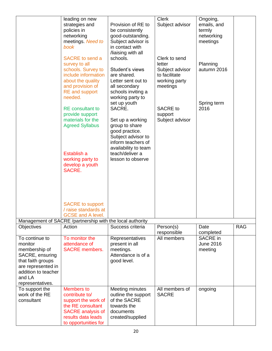|                     | leading on new                                            |                      | <b>Clerk</b>    | Ongoing,         |            |
|---------------------|-----------------------------------------------------------|----------------------|-----------------|------------------|------------|
|                     | strategies and                                            | Provision of RE to   | Subject advisor | emails, and      |            |
|                     | policies in                                               | be consistently      |                 | termly           |            |
|                     | networking                                                | good-outstanding.    |                 | networking       |            |
|                     | meetings. Need to                                         | Subject advisor is   |                 | meetings         |            |
|                     | book                                                      | in contact with      |                 |                  |            |
|                     |                                                           | /liaising with all   |                 |                  |            |
|                     | <b>SACRE</b> to send a                                    | schools.             | Clerk to send   |                  |            |
|                     | survey to all                                             |                      | letter          | Planning         |            |
|                     | schools. Survey to                                        | Student's views      | Subject advisor | autumn 2016      |            |
|                     | include information                                       | are shared.          | to facilitate   |                  |            |
|                     | about the quality                                         | Letter sent out to   | working party   |                  |            |
|                     | and provision of                                          | all secondary        | meetings        |                  |            |
|                     | <b>RE</b> and support                                     | schools inviting a   |                 |                  |            |
|                     | needed.                                                   |                      |                 |                  |            |
|                     |                                                           | working party to     |                 |                  |            |
|                     |                                                           | set up youth         |                 | Spring term      |            |
|                     | <b>RE</b> consultant to                                   | SACRE.               | <b>SACRE</b> to | 2016             |            |
|                     | provide support                                           |                      | support         |                  |            |
|                     | materials for the                                         | Set up a working     | Subject advisor |                  |            |
|                     | <b>Agreed Syllabus</b>                                    | group to share       |                 |                  |            |
|                     |                                                           | good practice.       |                 |                  |            |
|                     |                                                           | Subject advisor to   |                 |                  |            |
|                     |                                                           | inform teachers of   |                 |                  |            |
|                     |                                                           | availability to team |                 |                  |            |
|                     | Establish a                                               | teach/deliver a      |                 |                  |            |
|                     | working party to                                          | lesson to observe    |                 |                  |            |
|                     | develop a youth                                           |                      |                 |                  |            |
|                     | SACRE.                                                    |                      |                 |                  |            |
|                     |                                                           |                      |                 |                  |            |
|                     |                                                           |                      |                 |                  |            |
|                     |                                                           |                      |                 |                  |            |
|                     |                                                           |                      |                 |                  |            |
|                     |                                                           |                      |                 |                  |            |
|                     | <b>SACRE</b> to support                                   |                      |                 |                  |            |
|                     | / raise standards at                                      |                      |                 |                  |            |
|                     | <b>GCSE and A level.</b>                                  |                      |                 |                  |            |
|                     | Management of SACRE /partnership with the local authority |                      |                 |                  |            |
|                     |                                                           | Success criteria     |                 |                  |            |
| Objectives          | Action                                                    |                      | Person(s)       | Date             | <b>RAG</b> |
|                     |                                                           |                      | responsible     | completed        |            |
| To continue to      | To monitor the                                            | Representatives      | All members     | SACRE in         |            |
| monitor             | attendance of                                             | present in all       |                 | <b>June 2016</b> |            |
| membership of       | <b>SACRE</b> members.                                     | meetings.            |                 | meeting          |            |
| SACRE, ensuring     |                                                           | Attendance is of a   |                 |                  |            |
| that faith groups   |                                                           | good level.          |                 |                  |            |
| are represented in  |                                                           |                      |                 |                  |            |
| addition to teacher |                                                           |                      |                 |                  |            |
| and LA              |                                                           |                      |                 |                  |            |
| representatives.    |                                                           |                      |                 |                  |            |
| To support the      | <b>Members to</b>                                         | Meeting minutes      | All members of  | ongoing          |            |
| work of the RE      | contribute to/                                            | outline the support  | <b>SACRE</b>    |                  |            |
| consultant          | support the work of                                       | of the SACRE         |                 |                  |            |
|                     | the RE consultant                                         | towards the          |                 |                  |            |
|                     | <b>SACRE</b> analysis of                                  | documents            |                 |                  |            |
|                     | results data leads                                        | created/supplied     |                 |                  |            |
|                     | to opportunities for                                      |                      |                 |                  |            |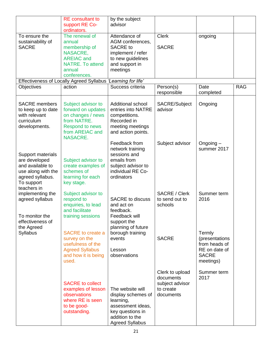|                                                                                                                               | <b>RE</b> consultant to<br>support RE Co-<br>ordinators.                                                                                     | by the subject<br>advisor                                                                                                                 |                                                                           |                                                                                         |            |
|-------------------------------------------------------------------------------------------------------------------------------|----------------------------------------------------------------------------------------------------------------------------------------------|-------------------------------------------------------------------------------------------------------------------------------------------|---------------------------------------------------------------------------|-----------------------------------------------------------------------------------------|------------|
| To ensure the<br>sustainability of<br><b>SACRE</b>                                                                            | The renewal of<br>annual<br>membership of<br>NASACRE,<br><b>AREIAC and</b><br><b>NATRE. To attend</b><br>annual<br>conferences.              | Attendance of<br>AGM conferences,<br><b>SACRE</b> to<br>implement / refer<br>to new guidelines<br>and support in<br>meetings              | <b>Clerk</b><br><b>SACRE</b>                                              | ongoing                                                                                 |            |
|                                                                                                                               | Effectiveness of Locally Agreed Syllabus 'Learning for life'                                                                                 |                                                                                                                                           |                                                                           |                                                                                         |            |
| Objectives                                                                                                                    | action                                                                                                                                       | Success criteria                                                                                                                          | Person(s)<br>responsible                                                  | Date<br>completed                                                                       | <b>RAG</b> |
| <b>SACRE</b> members<br>to keep up to date<br>with relevant<br>curriculum<br>developments.                                    | Subject advisor to<br>forward on updates<br>on changes / news<br>from NATRE.<br><b>Respond to news</b><br>from AREIAC and<br><b>NASACRE.</b> | <b>Additional school</b><br>entries into NATRE<br>competitions.<br>Recorded in<br>meeting meetings<br>and action points.                  | SACRE/Subject<br>advisor                                                  | Ongoing                                                                                 |            |
| Support materials<br>are developed<br>and available to<br>use along with the<br>agreed syllabus.<br>To support<br>teachers in | Subject advisor to<br>create examples of<br>schemes of<br>learning for each<br>key stage.                                                    | Feedback from<br>network training<br>sessions and<br>emails from<br>subject advisor to<br>individual RE Co-<br>ordinators                 | Subject advisor                                                           | Ongoing-<br>summer 2017                                                                 |            |
| implementing the<br>agreed syllabus<br>To monitor the<br>effectiveness of                                                     | Subject advisor to<br>respond to<br>enquiries, to lead<br>and facilitate<br>training sessions                                                | <b>SACRE to discuss</b><br>and act on<br>feedback.<br>Feedback will<br>support the                                                        | SACRE / Clerk<br>to send out to<br>schools                                | Summer term<br>2016                                                                     |            |
| the Agreed<br><b>Syllabus</b>                                                                                                 | <b>SACRE</b> to create a<br>survey on the<br>usefulness of the<br><b>Agreed Syllabus</b><br>and how it is being<br>used.                     | planning of future<br>borough training<br>events<br>Lesson<br>observations                                                                | <b>SACRE</b>                                                              | Termly<br>(presentations<br>from heads of<br>RE on date of<br><b>SACRE</b><br>meetings) |            |
|                                                                                                                               | <b>SACRE to collect</b><br>examples of lesson<br>observations<br>where RE is seen<br>to be good-<br>outstanding.                             | The website will<br>display schemes of<br>learning,<br>assessment ideas,<br>key questions in<br>addition to the<br><b>Agreed Syllabus</b> | Clerk to upload<br>documents<br>subject advisor<br>to create<br>documents | Summer term<br>2017                                                                     |            |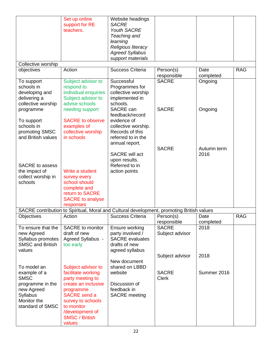|                                   | Set up online<br>support for RE | Website headings<br><b>SACRE</b>                                                          |                          |                   |            |
|-----------------------------------|---------------------------------|-------------------------------------------------------------------------------------------|--------------------------|-------------------|------------|
|                                   | teachers.                       | <b>Youth SACRE</b>                                                                        |                          |                   |            |
|                                   |                                 | Teaching and                                                                              |                          |                   |            |
|                                   |                                 | learning                                                                                  |                          |                   |            |
|                                   |                                 | Religious literacy                                                                        |                          |                   |            |
|                                   |                                 | <b>Agreed Syllabus</b>                                                                    |                          |                   |            |
|                                   |                                 | support materials                                                                         |                          |                   |            |
| Collective worship                | Action                          | <b>Success Criteria</b>                                                                   |                          | Date              | <b>RAG</b> |
| objectives                        |                                 |                                                                                           | Person(s)<br>responsible | completed         |            |
| To support                        | Subject advisor to              | Successful                                                                                | <b>SACRE</b>             | Ongoing           |            |
| schools in                        | respond to                      | Programmes for                                                                            |                          |                   |            |
| developing and                    | individual enquiries            | collective worship                                                                        |                          |                   |            |
| delivering a                      | Subject advisor to              | implemented in                                                                            |                          |                   |            |
| collective worship                | advise schools                  | schools.                                                                                  |                          |                   |            |
| programme                         | needing support                 | SACRE can<br>feedback/record                                                              | <b>SACRE</b>             | Ongoing           |            |
| To support                        | <b>SACRE to observe</b>         | evidence of                                                                               |                          |                   |            |
| schools in                        | examples of                     | collective worship.                                                                       |                          |                   |            |
| promoting SMSC                    | collective worship              | Records of this                                                                           |                          |                   |            |
| and British values                | in schools                      | referred to in the                                                                        |                          |                   |            |
|                                   |                                 | annual report.                                                                            |                          |                   |            |
|                                   |                                 |                                                                                           | <b>SACRE</b>             | Autumn term       |            |
|                                   |                                 | SACRE will act                                                                            |                          | 2016              |            |
| SACRE to assess                   |                                 | upon results.<br>Referred to in                                                           |                          |                   |            |
| the impact of                     | Write a student                 | action points                                                                             |                          |                   |            |
| collect worship in                | survey every                    |                                                                                           |                          |                   |            |
| schools                           | school should                   |                                                                                           |                          |                   |            |
|                                   | complete and                    |                                                                                           |                          |                   |            |
|                                   | return to SACRE                 |                                                                                           |                          |                   |            |
|                                   | <b>SACRE</b> to analyse         |                                                                                           |                          |                   |            |
|                                   | responses                       |                                                                                           |                          |                   |            |
|                                   |                                 | SACRE contribution to Spiritual, Moral and Cultural development, promoting British values |                          |                   |            |
| Objectives                        | Action                          | <b>Success Criteria</b>                                                                   | Person(s)<br>responsible | Date<br>completed | <b>RAG</b> |
| To ensure that the                | <b>SACRE</b> to monitor         | Ensure working                                                                            | <b>SACRE</b>             | 2018              |            |
| new Agreed                        | draft of new                    | party involved /                                                                          | Subject advisor          |                   |            |
| Syllabus promotes                 | Agreed Syllabus -               | <b>SACRE</b> evaluates                                                                    |                          |                   |            |
| <b>SMSC and British</b><br>values | too early                       | drafts of new                                                                             |                          |                   |            |
|                                   |                                 | agreed syllabus                                                                           | Subject advisor          | 2018              |            |
|                                   |                                 | New document                                                                              |                          |                   |            |
| To model an                       | Subject advisor to              | shared on LBBD                                                                            |                          |                   |            |
| example of a                      | facilitate working              | website                                                                                   | <b>SACRE</b>             | Summer 2016       |            |
| <b>SMSC</b>                       | party meeting to                |                                                                                           | <b>Clerk</b>             |                   |            |
| programme in the                  | create an inclusive             | Discussion of                                                                             |                          |                   |            |
| new Agreed                        | programme                       | feedback in                                                                               |                          |                   |            |
| Syllabus                          | <b>SACRE</b> send a             | <b>SACRE</b> meeting                                                                      |                          |                   |            |
| Monitor the                       | survey to schools               |                                                                                           |                          |                   |            |
| standard of SMSC                  | to monitor                      |                                                                                           |                          |                   |            |
|                                   | /development of                 |                                                                                           |                          |                   |            |
|                                   | <b>SMSC / British</b><br>values |                                                                                           |                          |                   |            |
|                                   |                                 |                                                                                           |                          |                   |            |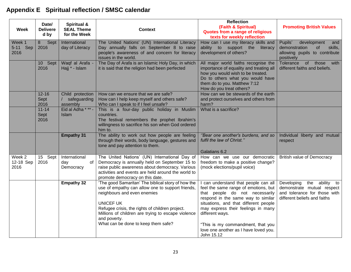### **Appendix E Spiritual reflection / SMSC calendar**

| Week                        | Date/<br><b>Delivere</b><br>d by | Spiritual &<br><b>SEAL Theme</b><br>for the Week           | <b>Context</b>                                                                                                                                                                                                                                                                                                            | <b>Reflection</b><br>(Faith & Spiritual)<br>Quotes from a range of religious<br>texts for weekly reflection                                                                                                                                                                                                                                      | <b>Promoting British Values</b>                                                                                            |
|-----------------------------|----------------------------------|------------------------------------------------------------|---------------------------------------------------------------------------------------------------------------------------------------------------------------------------------------------------------------------------------------------------------------------------------------------------------------------------|--------------------------------------------------------------------------------------------------------------------------------------------------------------------------------------------------------------------------------------------------------------------------------------------------------------------------------------------------|----------------------------------------------------------------------------------------------------------------------------|
| Week 1<br>5-11 Sep<br>2016  | Sept<br>8<br>2016                | International<br>day of Literacy                           | The United Nations' (UN) International Literacy<br>Day annually falls on September 8 to raise<br>people's awareness of and concern for literacy<br>issues in the world.                                                                                                                                                   | How can I use my literacy skills and<br>ability to support the<br>literacy<br>development of others?                                                                                                                                                                                                                                             | Pupils'<br>development<br>and<br>demonstration<br>of<br>skills,<br>allowing pupils to contribute<br>positively             |
|                             | 10 Sept<br>2016                  | Waqf al Arafa -<br>Hajj * - Islam                          | The Day of Arafa is an Islamic Holy Day, in which<br>it is said that the religion had been perfected                                                                                                                                                                                                                      | All major world faiths recognise the<br>importance of equality and treating all<br>how you would wish to be treated.<br>Do to others what you would have<br>them do to you. Matthew 7:12<br>How do you treat others?                                                                                                                             | Tolerance of those<br>with<br>different faiths and beliefs.                                                                |
|                             | $12 - 16$<br>Sept<br>2016        | Child protection<br>safeguarding<br>$\sqrt{2}$<br>assembly | How can we ensure that we are safe?<br>How can I help keep myself and others safe?<br>Who can I speak to if I feel unsafe?                                                                                                                                                                                                | How can we be stewards of the earth<br>and protect ourselves and others from<br>harm?                                                                                                                                                                                                                                                            |                                                                                                                            |
|                             | $11 - 14$<br>Sept<br>2016        | Eid al Adha * ** -<br>Islam                                | This is a four-day public holiday in Muslim<br>countries.<br>The festival remembers the prophet Ibrahim's<br>willingness to sacrifice his son when God ordered<br>him to.                                                                                                                                                 | What is a sacrifice?                                                                                                                                                                                                                                                                                                                             |                                                                                                                            |
|                             |                                  | <b>Empathy 31</b>                                          | The ability to work out how people are feeling<br>through their words, body language, gestures and<br>tone and pay attention to them.                                                                                                                                                                                     | "Bear one another's burdens, and so<br>fulfil the law of Christ."<br>Galatians 6.2                                                                                                                                                                                                                                                               | Individual liberty and mutual<br>respect                                                                                   |
| Week 2<br>12-18 Sep<br>2016 | 15 Sept<br>2016                  | International<br>of<br>day<br>Democracy                    | The United Nations' (UN) International Day of<br>Democracy is annually held on September 15 to<br>raise public awareness about democracy. Various<br>activities and events are held around the world to<br>promote democracy on this date.                                                                                | How can we use our democratic<br>freedom to make a positive change?<br>(mock elections/pupil voice)                                                                                                                                                                                                                                              | <b>British value of Democracy</b>                                                                                          |
|                             |                                  | <b>Empathy 32</b>                                          | 'The good Samaritan' The biblical story of how the<br>use of empathy can allow one to support friends,<br>neighbours and even enemies<br><b>UNICEF UK</b><br>Refugee crisis, the rights of children project.<br>Millions of children are trying to escape violence<br>and poverty.<br>What can be done to keep them safe? | can understand that people can all<br>feel the same range of emotions, but<br>that people do not necessarily<br>respond in the same way to similar<br>situations, and that different people<br>may express their feelings in many<br>different ways.<br>"This is my commandment, that you<br>love one another as I have loved you.<br>John 15.12 | Developing<br>the ability to<br>demonstrate mutual respect<br>and tolerance for those with<br>different beliefs and faiths |